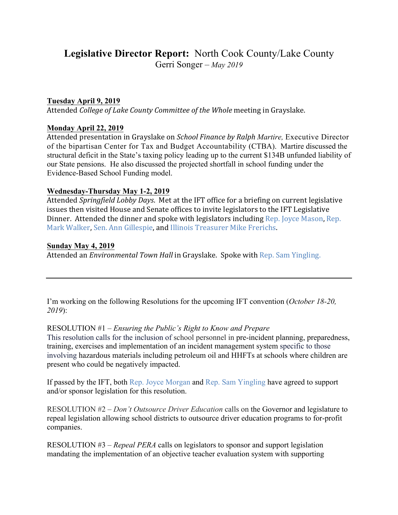# **Legislative Director Report:** North Cook County/Lake County

Gerri Songer – *May 2019*

## **Tuesday April 9, 2019**

Attended *College of Lake County Committee of the Whole* meeting in Grayslake.

## **Monday April 22, 2019**

Attended presentation in Grayslake on *School Finance by Ralph Martire,* Executive Director of the bipartisan Center for Tax and Budget Accountability (CTBA). Martire discussed the structural deficit in the State's taxing policy leading up to the current \$134B unfunded liability of our State pensions. He also discussed the projected shortfall in school funding under the Evidence-Based School Funding model.

#### **Wednesday-Thursday May 1-2, 2019**

Attended *Springfield Lobby Days*. Met at the IFT office for a briefing on current legislative issues then visited House and Senate offices to invite legislators to the IFT Legislative Dinner. Attended the dinner and spoke with legislators including Rep. Joyce Mason, Rep. Mark Walker, Sen. Ann Gillespie, and Illinois Treasurer Mike Frerichs.

# **Sunday May 4, 2019**

Attended an *Environmental Town Hall* in Grayslake. Spoke with Rep. Sam Yingling.

I'm working on the following Resolutions for the upcoming IFT convention (*October 18-20, 2019*):

#### RESOLUTION #1 – *Ensuring the Public's Right to Know and Prepare*

This resolution calls for the inclusion of school personnel in pre-incident planning, preparedness, training, exercises and implementation of an incident management system specific to those involving hazardous materials including petroleum oil and HHFTs at schools where children are present who could be negatively impacted.

If passed by the IFT, both Rep. Joyce Morgan and Rep. Sam Yingling have agreed to support and/or sponsor legislation for this resolution.

RESOLUTION #2 – *Don't Outsource Driver Education* calls on the Governor and legislature to repeal legislation allowing school districts to outsource driver education programs to for-profit companies.

RESOLUTION #3 – *Repeal PERA* calls on legislators to sponsor and support legislation mandating the implementation of an objective teacher evaluation system with supporting